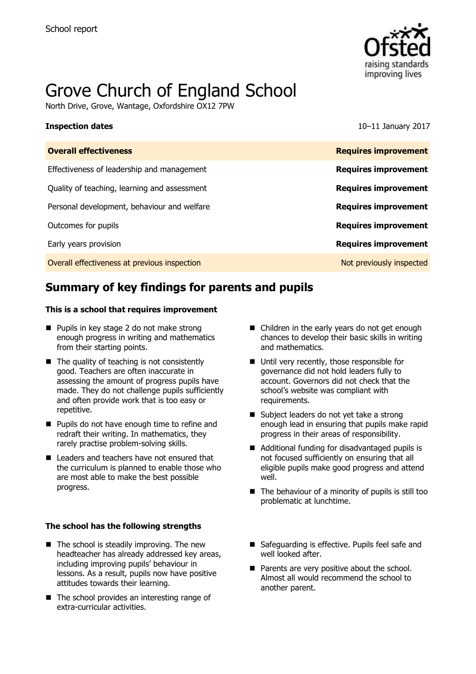

# Grove Church of England School

North Drive, Grove, Wantage, Oxfordshire OX12 7PW

**Inspection dates** 10–11 January 2017

| <b>Overall effectiveness</b>                 | <b>Requires improvement</b> |
|----------------------------------------------|-----------------------------|
| Effectiveness of leadership and management   | <b>Requires improvement</b> |
| Quality of teaching, learning and assessment | <b>Requires improvement</b> |
| Personal development, behaviour and welfare  | <b>Requires improvement</b> |
| Outcomes for pupils                          | <b>Requires improvement</b> |
| Early years provision                        | <b>Requires improvement</b> |
| Overall effectiveness at previous inspection | Not previously inspected    |
|                                              |                             |

# **Summary of key findings for parents and pupils**

### **This is a school that requires improvement**

- Pupils in key stage 2 do not make strong enough progress in writing and mathematics from their starting points.
- $\blacksquare$  The quality of teaching is not consistently good. Teachers are often inaccurate in assessing the amount of progress pupils have made. They do not challenge pupils sufficiently and often provide work that is too easy or repetitive.
- **Pupils do not have enough time to refine and** redraft their writing. In mathematics, they rarely practise problem-solving skills.
- Leaders and teachers have not ensured that the curriculum is planned to enable those who are most able to make the best possible progress.

### **The school has the following strengths**

- $\blacksquare$  The school is steadily improving. The new headteacher has already addressed key areas, including improving pupils' behaviour in lessons. As a result, pupils now have positive attitudes towards their learning.
- $\blacksquare$  The school provides an interesting range of extra-curricular activities.
- Children in the early years do not get enough chances to develop their basic skills in writing and mathematics.
- Until very recently, those responsible for governance did not hold leaders fully to account. Governors did not check that the school's website was compliant with requirements.
- Subject leaders do not yet take a strong enough lead in ensuring that pupils make rapid progress in their areas of responsibility.
- Additional funding for disadvantaged pupils is not focused sufficiently on ensuring that all eligible pupils make good progress and attend well.
- $\blacksquare$  The behaviour of a minority of pupils is still too problematic at lunchtime.
- Safeguarding is effective. Pupils feel safe and well looked after.
- **Parents are very positive about the school.** Almost all would recommend the school to another parent.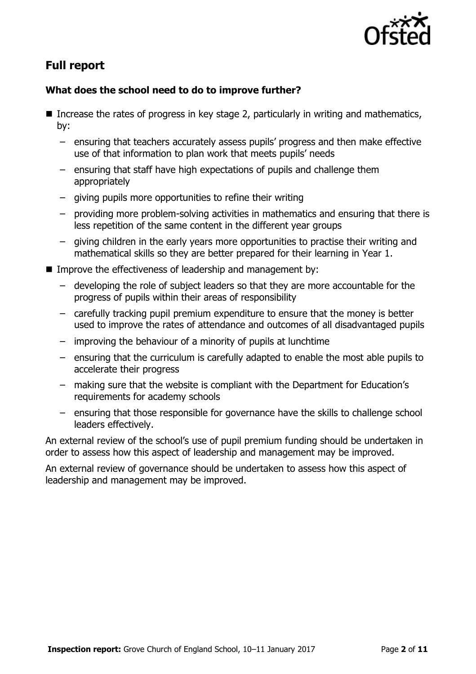

# **Full report**

### **What does the school need to do to improve further?**

- Increase the rates of progress in key stage 2, particularly in writing and mathematics, by:
	- ensuring that teachers accurately assess pupils' progress and then make effective use of that information to plan work that meets pupils' needs
	- ensuring that staff have high expectations of pupils and challenge them appropriately
	- giving pupils more opportunities to refine their writing
	- providing more problem-solving activities in mathematics and ensuring that there is less repetition of the same content in the different year groups
	- giving children in the early years more opportunities to practise their writing and mathematical skills so they are better prepared for their learning in Year 1.
- **IMPROVE the effectiveness of leadership and management by:** 
	- developing the role of subject leaders so that they are more accountable for the progress of pupils within their areas of responsibility
	- carefully tracking pupil premium expenditure to ensure that the money is better used to improve the rates of attendance and outcomes of all disadvantaged pupils
	- improving the behaviour of a minority of pupils at lunchtime
	- ensuring that the curriculum is carefully adapted to enable the most able pupils to accelerate their progress
	- making sure that the website is compliant with the Department for Education's requirements for academy schools
	- ensuring that those responsible for governance have the skills to challenge school leaders effectively.

An external review of the school's use of pupil premium funding should be undertaken in order to assess how this aspect of leadership and management may be improved.

An external review of governance should be undertaken to assess how this aspect of leadership and management may be improved.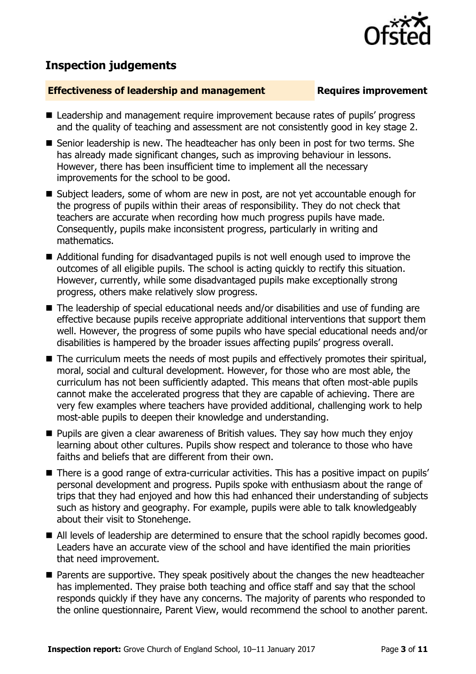## **Inspection judgements**

### **Effectiveness of leadership and management Requires improvement**

- Leadership and management require improvement because rates of pupils' progress and the quality of teaching and assessment are not consistently good in key stage 2.
- Senior leadership is new. The headteacher has only been in post for two terms. She has already made significant changes, such as improving behaviour in lessons. However, there has been insufficient time to implement all the necessary improvements for the school to be good.
- Subject leaders, some of whom are new in post, are not yet accountable enough for the progress of pupils within their areas of responsibility. They do not check that teachers are accurate when recording how much progress pupils have made. Consequently, pupils make inconsistent progress, particularly in writing and mathematics.
- Additional funding for disadvantaged pupils is not well enough used to improve the outcomes of all eligible pupils. The school is acting quickly to rectify this situation. However, currently, while some disadvantaged pupils make exceptionally strong progress, others make relatively slow progress.
- The leadership of special educational needs and/or disabilities and use of funding are effective because pupils receive appropriate additional interventions that support them well. However, the progress of some pupils who have special educational needs and/or disabilities is hampered by the broader issues affecting pupils' progress overall.
- The curriculum meets the needs of most pupils and effectively promotes their spiritual, moral, social and cultural development. However, for those who are most able, the curriculum has not been sufficiently adapted. This means that often most-able pupils cannot make the accelerated progress that they are capable of achieving. There are very few examples where teachers have provided additional, challenging work to help most-able pupils to deepen their knowledge and understanding.
- **Pupils are given a clear awareness of British values. They say how much they enjoy** learning about other cultures. Pupils show respect and tolerance to those who have faiths and beliefs that are different from their own.
- There is a good range of extra-curricular activities. This has a positive impact on pupils' personal development and progress. Pupils spoke with enthusiasm about the range of trips that they had enjoyed and how this had enhanced their understanding of subjects such as history and geography. For example, pupils were able to talk knowledgeably about their visit to Stonehenge.
- All levels of leadership are determined to ensure that the school rapidly becomes good. Leaders have an accurate view of the school and have identified the main priorities that need improvement.
- **Parents are supportive. They speak positively about the changes the new headteacher** has implemented. They praise both teaching and office staff and say that the school responds quickly if they have any concerns. The majority of parents who responded to the online questionnaire, Parent View, would recommend the school to another parent.

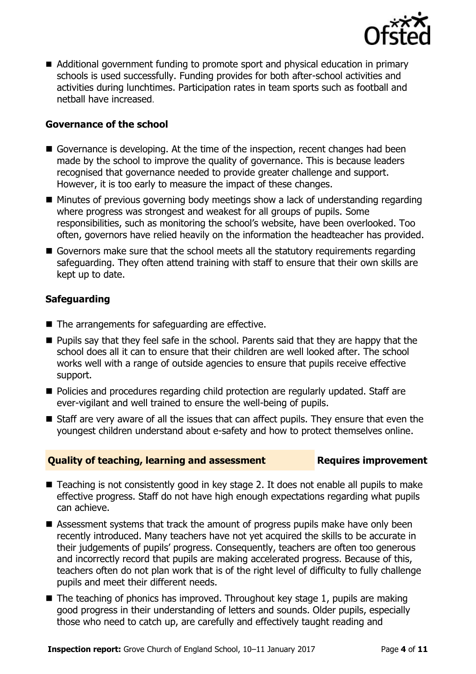

■ Additional government funding to promote sport and physical education in primary schools is used successfully. Funding provides for both after-school activities and activities during lunchtimes. Participation rates in team sports such as football and netball have increased.

### **Governance of the school**

- Governance is developing. At the time of the inspection, recent changes had been made by the school to improve the quality of governance. This is because leaders recognised that governance needed to provide greater challenge and support. However, it is too early to measure the impact of these changes.
- Minutes of previous governing body meetings show a lack of understanding regarding where progress was strongest and weakest for all groups of pupils. Some responsibilities, such as monitoring the school's website, have been overlooked. Too often, governors have relied heavily on the information the headteacher has provided.
- Governors make sure that the school meets all the statutory requirements regarding safeguarding. They often attend training with staff to ensure that their own skills are kept up to date.

### **Safeguarding**

- $\blacksquare$  The arrangements for safeguarding are effective.
- **Pupils say that they feel safe in the school. Parents said that they are happy that the** school does all it can to ensure that their children are well looked after. The school works well with a range of outside agencies to ensure that pupils receive effective support.
- Policies and procedures regarding child protection are regularly updated. Staff are ever-vigilant and well trained to ensure the well-being of pupils.
- Staff are very aware of all the issues that can affect pupils. They ensure that even the youngest children understand about e-safety and how to protect themselves online.

### **Quality of teaching, learning and assessment Requires improvement**

- Teaching is not consistently good in key stage 2. It does not enable all pupils to make effective progress. Staff do not have high enough expectations regarding what pupils can achieve.
- Assessment systems that track the amount of progress pupils make have only been recently introduced. Many teachers have not yet acquired the skills to be accurate in their judgements of pupils' progress. Consequently, teachers are often too generous and incorrectly record that pupils are making accelerated progress. Because of this, teachers often do not plan work that is of the right level of difficulty to fully challenge pupils and meet their different needs.
- $\blacksquare$  The teaching of phonics has improved. Throughout key stage 1, pupils are making good progress in their understanding of letters and sounds. Older pupils, especially those who need to catch up, are carefully and effectively taught reading and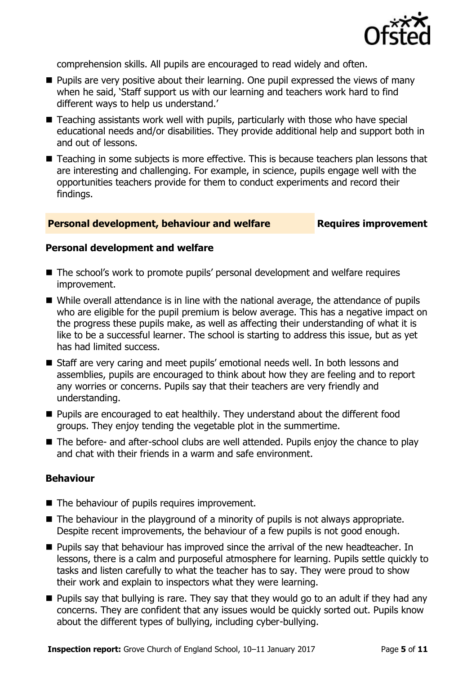

comprehension skills. All pupils are encouraged to read widely and often.

- **Pupils are very positive about their learning. One pupil expressed the views of many** when he said, 'Staff support us with our learning and teachers work hard to find different ways to help us understand.'
- Teaching assistants work well with pupils, particularly with those who have special educational needs and/or disabilities. They provide additional help and support both in and out of lessons.
- Teaching in some subjects is more effective. This is because teachers plan lessons that are interesting and challenging. For example, in science, pupils engage well with the opportunities teachers provide for them to conduct experiments and record their findings.

### **Personal development, behaviour and welfare Fig. 2.1 Requires improvement**

### **Personal development and welfare**

- The school's work to promote pupils' personal development and welfare requires improvement.
- While overall attendance is in line with the national average, the attendance of pupils who are eligible for the pupil premium is below average. This has a negative impact on the progress these pupils make, as well as affecting their understanding of what it is like to be a successful learner. The school is starting to address this issue, but as yet has had limited success.
- Staff are very caring and meet pupils' emotional needs well. In both lessons and assemblies, pupils are encouraged to think about how they are feeling and to report any worries or concerns. Pupils say that their teachers are very friendly and understanding.
- Pupils are encouraged to eat healthily. They understand about the different food groups. They enjoy tending the vegetable plot in the summertime.
- The before- and after-school clubs are well attended. Pupils enjoy the chance to play and chat with their friends in a warm and safe environment.

### **Behaviour**

- The behaviour of pupils requires improvement.
- $\blacksquare$  The behaviour in the playground of a minority of pupils is not always appropriate. Despite recent improvements, the behaviour of a few pupils is not good enough.
- **Pupils say that behaviour has improved since the arrival of the new headteacher. In** lessons, there is a calm and purposeful atmosphere for learning. Pupils settle quickly to tasks and listen carefully to what the teacher has to say. They were proud to show their work and explain to inspectors what they were learning.
- **Pupils say that bullying is rare. They say that they would go to an adult if they had any** concerns. They are confident that any issues would be quickly sorted out. Pupils know about the different types of bullying, including cyber-bullying.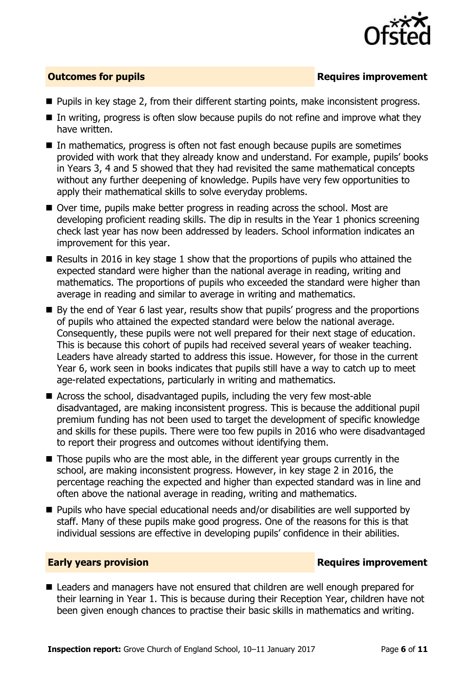

### **Outcomes for pupils Requires improvement**

- **Pupils in key stage 2, from their different starting points, make inconsistent progress.**
- $\blacksquare$  In writing, progress is often slow because pupils do not refine and improve what they have written.
- In mathematics, progress is often not fast enough because pupils are sometimes provided with work that they already know and understand. For example, pupils' books in Years 3, 4 and 5 showed that they had revisited the same mathematical concepts without any further deepening of knowledge. Pupils have very few opportunities to apply their mathematical skills to solve everyday problems.
- Over time, pupils make better progress in reading across the school. Most are developing proficient reading skills. The dip in results in the Year 1 phonics screening check last year has now been addressed by leaders. School information indicates an improvement for this year.
- Results in 2016 in key stage 1 show that the proportions of pupils who attained the expected standard were higher than the national average in reading, writing and mathematics. The proportions of pupils who exceeded the standard were higher than average in reading and similar to average in writing and mathematics.
- By the end of Year 6 last year, results show that pupils' progress and the proportions of pupils who attained the expected standard were below the national average. Consequently, these pupils were not well prepared for their next stage of education. This is because this cohort of pupils had received several years of weaker teaching. Leaders have already started to address this issue. However, for those in the current Year 6, work seen in books indicates that pupils still have a way to catch up to meet age-related expectations, particularly in writing and mathematics.
- Across the school, disadvantaged pupils, including the very few most-able disadvantaged, are making inconsistent progress. This is because the additional pupil premium funding has not been used to target the development of specific knowledge and skills for these pupils. There were too few pupils in 2016 who were disadvantaged to report their progress and outcomes without identifying them.
- Those pupils who are the most able, in the different year groups currently in the school, are making inconsistent progress. However, in key stage 2 in 2016, the percentage reaching the expected and higher than expected standard was in line and often above the national average in reading, writing and mathematics.
- Pupils who have special educational needs and/or disabilities are well supported by staff. Many of these pupils make good progress. One of the reasons for this is that individual sessions are effective in developing pupils' confidence in their abilities.

### **Early years provision**

■ Leaders and managers have not ensured that children are well enough prepared for their learning in Year 1. This is because during their Reception Year, children have not been given enough chances to practise their basic skills in mathematics and writing.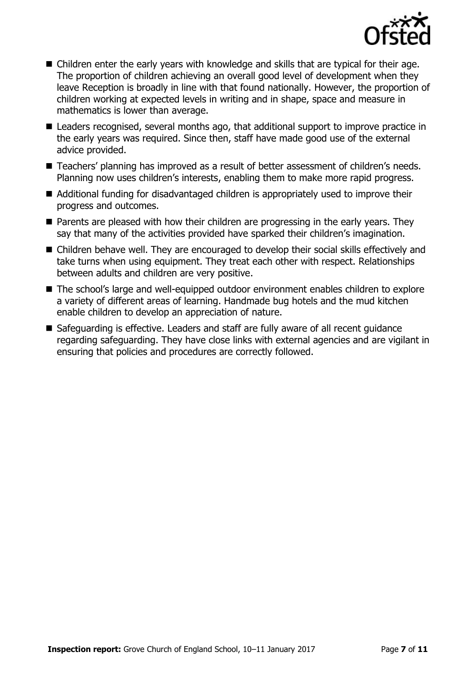

- Children enter the early years with knowledge and skills that are typical for their age. The proportion of children achieving an overall good level of development when they leave Reception is broadly in line with that found nationally. However, the proportion of children working at expected levels in writing and in shape, space and measure in mathematics is lower than average.
- Leaders recognised, several months ago, that additional support to improve practice in the early years was required. Since then, staff have made good use of the external advice provided.
- Teachers' planning has improved as a result of better assessment of children's needs. Planning now uses children's interests, enabling them to make more rapid progress.
- Additional funding for disadvantaged children is appropriately used to improve their progress and outcomes.
- **Parents are pleased with how their children are progressing in the early years. They** say that many of the activities provided have sparked their children's imagination.
- Children behave well. They are encouraged to develop their social skills effectively and take turns when using equipment. They treat each other with respect. Relationships between adults and children are very positive.
- The school's large and well-equipped outdoor environment enables children to explore a variety of different areas of learning. Handmade bug hotels and the mud kitchen enable children to develop an appreciation of nature.
- Safeguarding is effective. Leaders and staff are fully aware of all recent guidance regarding safeguarding. They have close links with external agencies and are vigilant in ensuring that policies and procedures are correctly followed.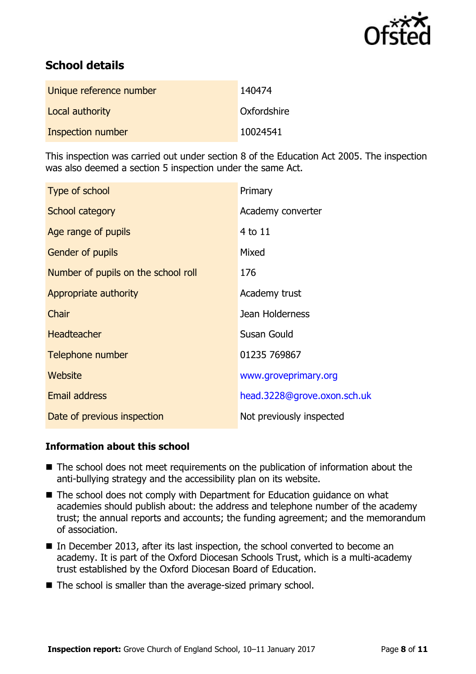

# **School details**

| Unique reference number | 140474      |
|-------------------------|-------------|
| Local authority         | Oxfordshire |
| Inspection number       | 10024541    |

This inspection was carried out under section 8 of the Education Act 2005. The inspection was also deemed a section 5 inspection under the same Act.

| Type of school                      | Primary                     |
|-------------------------------------|-----------------------------|
| School category                     | Academy converter           |
| Age range of pupils                 | $4$ to $11$                 |
| <b>Gender of pupils</b>             | Mixed                       |
| Number of pupils on the school roll | 176                         |
| Appropriate authority               | Academy trust               |
| Chair                               | Jean Holderness             |
| <b>Headteacher</b>                  | Susan Gould                 |
| Telephone number                    | 01235 769867                |
| Website                             | www.groveprimary.org        |
| <b>Email address</b>                | head.3228@grove.oxon.sch.uk |
| Date of previous inspection         | Not previously inspected    |

### **Information about this school**

- The school does not meet requirements on the publication of information about the anti-bullying strategy and the accessibility plan on its website.
- The school does not comply with Department for Education guidance on what academies should publish about: the address and telephone number of the academy trust; the annual reports and accounts; the funding agreement; and the memorandum of association.
- In December 2013, after its last inspection, the school converted to become an academy. It is part of the Oxford Diocesan Schools Trust, which is a multi-academy trust established by the Oxford Diocesan Board of Education.
- The school is smaller than the average-sized primary school.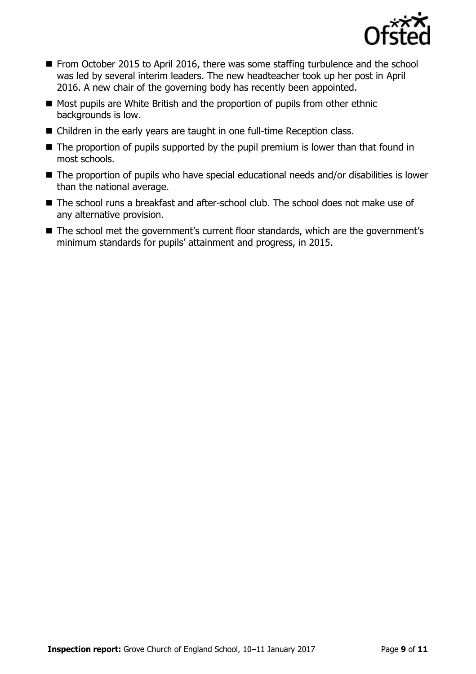

- From October 2015 to April 2016, there was some staffing turbulence and the school was led by several interim leaders. The new headteacher took up her post in April 2016. A new chair of the governing body has recently been appointed.
- Most pupils are White British and the proportion of pupils from other ethnic backgrounds is low.
- Children in the early years are taught in one full-time Reception class.
- $\blacksquare$  The proportion of pupils supported by the pupil premium is lower than that found in most schools.
- The proportion of pupils who have special educational needs and/or disabilities is lower than the national average.
- The school runs a breakfast and after-school club. The school does not make use of any alternative provision.
- The school met the government's current floor standards, which are the government's minimum standards for pupils' attainment and progress, in 2015.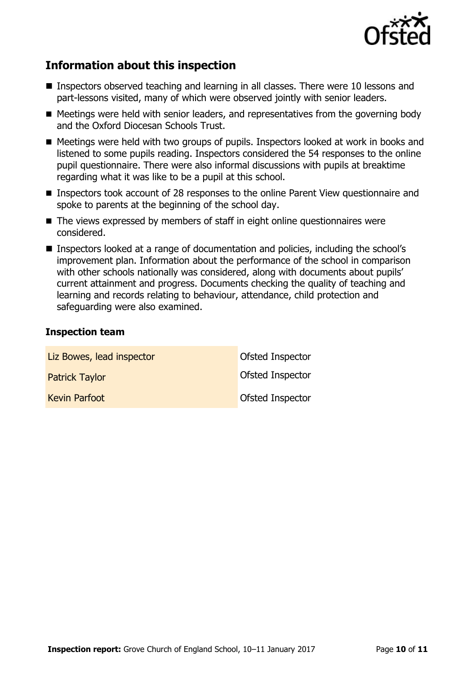

# **Information about this inspection**

- Inspectors observed teaching and learning in all classes. There were 10 lessons and part-lessons visited, many of which were observed jointly with senior leaders.
- Meetings were held with senior leaders, and representatives from the governing body and the Oxford Diocesan Schools Trust.
- Meetings were held with two groups of pupils. Inspectors looked at work in books and listened to some pupils reading. Inspectors considered the 54 responses to the online pupil questionnaire. There were also informal discussions with pupils at breaktime regarding what it was like to be a pupil at this school.
- **Inspectors took account of 28 responses to the online Parent View questionnaire and** spoke to parents at the beginning of the school day.
- The views expressed by members of staff in eight online questionnaires were considered.
- Inspectors looked at a range of documentation and policies, including the school's improvement plan. Information about the performance of the school in comparison with other schools nationally was considered, along with documents about pupils' current attainment and progress. Documents checking the quality of teaching and learning and records relating to behaviour, attendance, child protection and safeguarding were also examined.

### **Inspection team**

| Liz Bowes, lead inspector | <b>Ofsted Inspector</b> |
|---------------------------|-------------------------|
| <b>Patrick Taylor</b>     | Ofsted Inspector        |
| <b>Kevin Parfoot</b>      | Ofsted Inspector        |